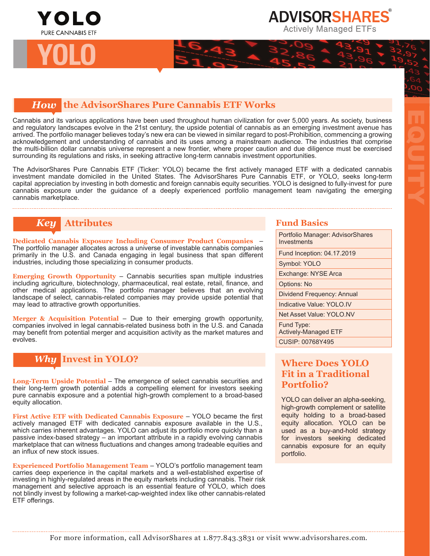

# *How* **the AdvisorShares Pure Cannabis ETF Works**

Cannabis and its various applications have been used throughout human civilization for over 5,000 years. As society, business and regulatory landscapes evolve in the 21st century, the upside potential of cannabis as an emerging investment avenue has arrived. The portfolio manager believes today's new era can be viewed in similar regard to post-Prohibition, commencing a growing acknowledgement and understanding of cannabis and its uses among a mainstream audience. The industries that comprise the multi-billion dollar cannabis universe represent a new frontier, where proper caution and due diligence must be exercised surrounding its regulations and risks, in seeking attractive long-term cannabis investment opportunities.

The AdvisorShares Pure Cannabis ETF (Ticker: YOLO) became the first actively managed ETF with a dedicated cannabis investment mandate domiciled in the United States. The AdvisorShares Pure Cannabis ETF, or YOLO, seeks long-term capital appreciation by investing in both domestic and foreign cannabis equity securities. YOLO is designed to fully-invest for pure cannabis exposure under the guidance of a deeply experienced portfolio management team navigating the emerging cannabis marketplace.

# *Key* **Attributes <b>Fund Basics Fund Basics**

**Dedicated Cannabis Exposure Including Consumer Product Companies** – The portfolio manager allocates across a universe of investable cannabis companies primarily in the U.S. and Canada engaging in legal business that span different industries, including those specializing in consumer products.

**Emerging Growth Opportunity** – Cannabis securities span multiple industries including agriculture, biotechnology, pharmaceutical, real estate, retail, finance, and other medical applications. The portfolio manager believes that an evolving landscape of select, cannabis-related companies may provide upside potential that may lead to attractive growth opportunities.

**Merger & Acquisition Potential** – Due to their emerging growth opportunity, companies involved in legal cannabis-related business both in the U.S. and Canada may benefit from potential merger and acquisition activity as the market matures and evolves.



**Long-Term Upside Potential** – The emergence of select cannabis securities and their long-term growth potential adds a compelling element for investors seeking pure cannabis exposure and a potential high-growth complement to a broad-based equity allocation.

**First Active ETF with Dedicated Cannabis Exposure** – YOLO became the first actively managed ETF with dedicated cannabis exposure available in the U.S., which carries inherent advantages. YOLO can adjust its portfolio more quickly than a passive index-based strategy – an important attribute in a rapidly evolving cannabis marketplace that can witness fluctuations and changes among tradeable equities and an influx of new stock issues.

**Experienced Portfolio Management Team** – YOLO's portfolio management team carries deep experience in the capital markets and a well-established expertise of investing in highly-regulated areas in the equity markets including cannabis. Their risk management and selective approach is an essential feature of YOLO, which does not blindly invest by following a market-cap-weighted index like other cannabis-related ETF offerings.

Portfolio Manager: AdvisorShares **Investments** Fund Inception: 04.17.2019 Symbol: YOLO Exchange: NYSE Arca Options: No Dividend Frequency: Annual Indicative Value: YOLO.IV Net Asset Value: YOLO.NV Fund Type: Actively-Managed ETF CUSIP: 00768Y495

EQUITY

# **Where Does YOLO Fit in a Traditional Portfolio?**

YOLO can deliver an alpha-seeking, high-growth complement or satellite equity holding to a broad-based equity allocation. YOLO can be used as a buy-and-hold strategy for investors seeking dedicated cannabis exposure for an equity portfolio.